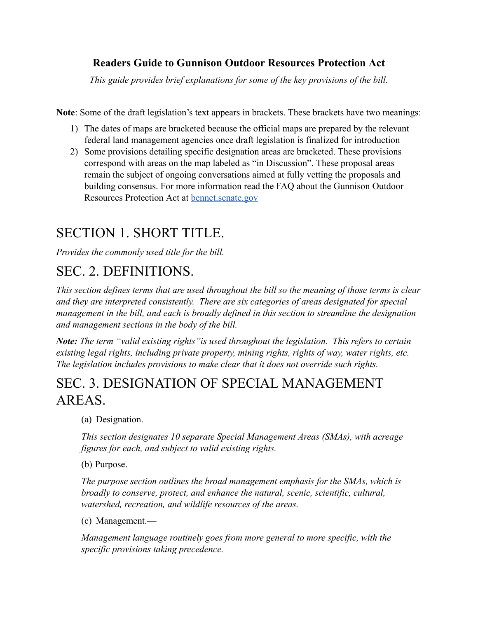#### **Readers Guide to Gunnison Outdoor Resources Protection Act**

*This guide provides brief explanations for some of the key provisions of the bill.*

**Note**: Some of the draft legislation's text appears in brackets. These brackets have two meanings:

- 1) The dates of maps are bracketed because the official maps are prepared by the relevant federal land management agencies once draft legislation is finalized for introduction
- 2) Some provisions detailing specific designation areas are bracketed. These provisions correspond with areas on the map labeled as "in Discussion". These proposal areas remain the subject of ongoing conversations aimed at fully vetting the proposals and building consensus. For more information read the FAQ about the Gunnison Outdoor Resources Protection Act at **bennet**.senate.gov

### SECTION 1. SHORT TITLE.

*Provides the commonly used title for the bill.*

# SEC. 2. DEFINITIONS.

*This section defines terms that are used throughout the bill so the meaning of those terms is clear and they are interpreted consistently. There are six categories of areas designated for special management in the bill, and each is broadly defined in this section to streamline the designation and management sections in the body of the bill.*

*Note: The term "valid existing rights"is used throughout the legislation. This refers to certain existing legal rights, including private property, mining rights, rights of way, water rights, etc. The legislation includes provisions to make clear that it does not override such rights.*

# SEC. 3. DESIGNATION OF SPECIAL MANAGEMENT AREAS.

(a) Designation.—

*This section designates 10 separate Special Management Areas (SMAs), with acreage figures for each, and subject to valid existing rights.*

(b) Purpose.—

*The purpose section outlines the broad management emphasis for the SMAs, which is broadly to conserve, protect, and enhance the natural, scenic, scientific, cultural, watershed, recreation, and wildlife resources of the areas.*

(c) Management.—

*Management language routinely goes from more general to more specific, with the specific provisions taking precedence.*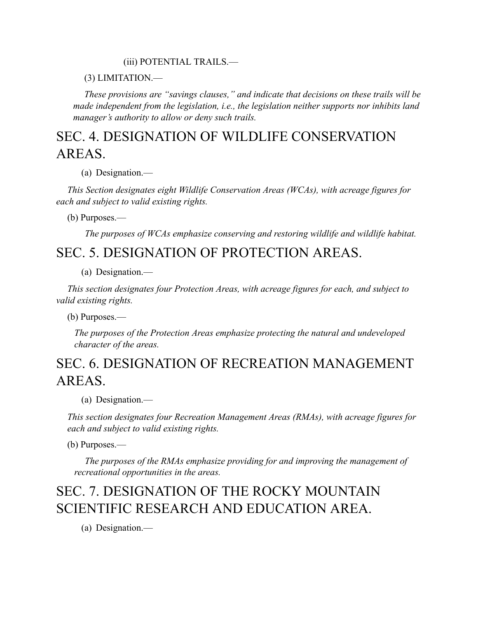#### (iii) POTENTIAL TRAILS.—

(3) LIMITATION.—

*These provisions are "savings clauses," and indicate that decisions on these trails will be made independent from the legislation, i.e., the legislation neither supports nor inhibits land manager's authority to allow or deny such trails.*

### SEC. 4. DESIGNATION OF WILDLIFE CONSERVATION AREAS.

(a) Designation.—

*This Section designates eight Wildlife Conservation Areas (WCAs), with acreage figures for each and subject to valid existing rights.*

(b) Purposes.—

*The purposes of WCAs emphasize conserving and restoring wildlife and wildlife habitat.*

#### SEC. 5. DESIGNATION OF PROTECTION AREAS.

(a) Designation.—

*This section designates four Protection Areas, with acreage figures for each, and subject to valid existing rights.*

(b) Purposes.—

*The purposes of the Protection Areas emphasize protecting the natural and undeveloped character of the areas.*

### SEC. 6. DESIGNATION OF RECREATION MANAGEMENT AREAS.

(a) Designation.—

*This section designates four Recreation Management Areas (RMAs), with acreage figures for each and subject to valid existing rights.*

(b) Purposes.—

*The purposes of the RMAs emphasize providing for and improving the management of recreational opportunities in the areas.*

# SEC. 7. DESIGNATION OF THE ROCKY MOUNTAIN SCIENTIFIC RESEARCH AND EDUCATION AREA.

(a) Designation.—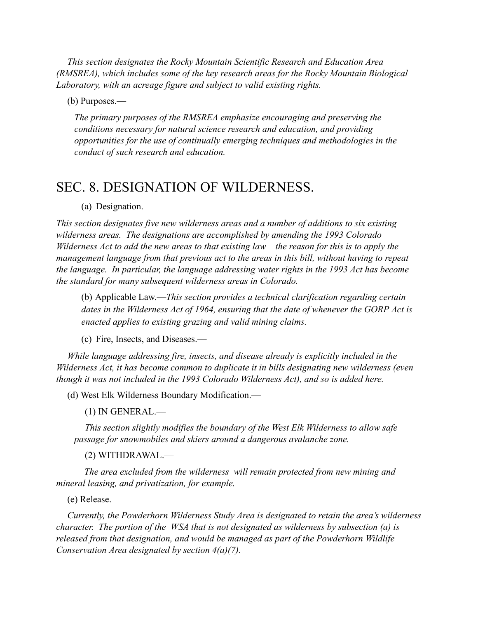*This section designates the Rocky Mountain Scientific Research and Education Area (RMSREA), which includes some of the key research areas for the Rocky Mountain Biological Laboratory, with an acreage figure and subject to valid existing rights.*

(b) Purposes.—

*The primary purposes of the RMSREA emphasize encouraging and preserving the conditions necessary for natural science research and education, and providing opportunities for the use of continually emerging techniques and methodologies in the conduct of such research and education.*

### SEC. 8. DESIGNATION OF WILDERNESS.

(a) Designation.—

*This section designates five new wilderness areas and a number of additions to six existing wilderness areas. The designations are accomplished by amending the 1993 Colorado Wilderness Act to add the new areas to that existing law – the reason for this is to apply the management language from that previous act to the areas in this bill, without having to repeat the language. In particular, the language addressing water rights in the 1993 Act has become the standard for many subsequent wilderness areas in Colorado.*

(b) Applicable Law.—*This section provides a technical clarification regarding certain dates in the Wilderness Act of 1964, ensuring that the date of whenever the GORP Act is enacted applies to existing grazing and valid mining claims.*

(c) Fire, Insects, and Diseases.—

*While language addressing fire, insects, and disease already is explicitly included in the Wilderness Act, it has become common to duplicate it in bills designating new wilderness (even though it was not included in the 1993 Colorado Wilderness Act), and so is added here.*

(d) West Elk Wilderness Boundary Modification.—

(1) IN GENERAL.—

*This section slightly modifies the boundary of the West Elk Wilderness to allow safe passage for snowmobiles and skiers around a dangerous avalanche zone.*

(2) WITHDRAWAL.—

*The area excluded from the wilderness will remain protected from new mining and mineral leasing, and privatization, for example.*

(e) Release.—

*Currently, the Powderhorn Wilderness Study Area is designated to retain the area's wilderness character. The portion of the WSA that is not designated as wilderness by subsection (a) is released from that designation, and would be managed as part of the Powderhorn Wildlife Conservation Area designated by section 4(a)(7).*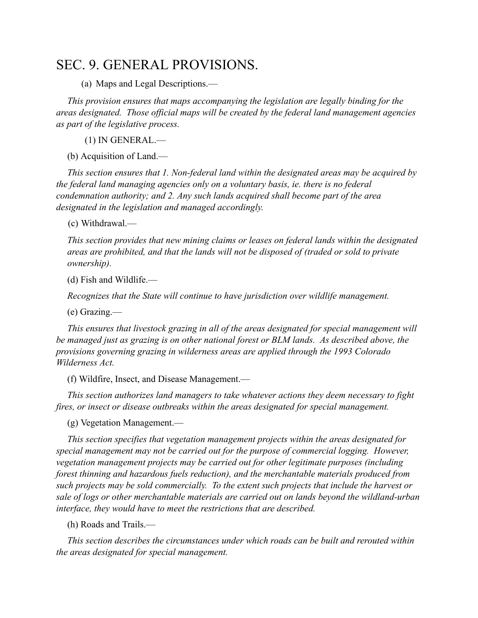### SEC. 9. GENERAL PROVISIONS.

(a) Maps and Legal Descriptions.—

*This provision ensures that maps accompanying the legislation are legally binding for the areas designated. Those official maps will be created by the federal land management agencies as part of the legislative process.*

(1) IN GENERAL.—

(b) Acquisition of Land.—

*This section ensures that 1. Non-federal land within the designated areas may be acquired by the federal land managing agencies only on a voluntary basis, ie. there is no federal condemnation authority; and 2. Any such lands acquired shall become part of the area designated in the legislation and managed accordingly.*

(c) Withdrawal.—

*This section provides that new mining claims or leases on federal lands within the designated areas are prohibited, and that the lands will not be disposed of (traded or sold to private ownership).*

(d) Fish and Wildlife.—

*Recognizes that the State will continue to have jurisdiction over wildlife management.*

(e) Grazing.—

*This ensures that livestock grazing in all of the areas designated for special management will be managed just as grazing is on other national forest or BLM lands. As described above, the provisions governing grazing in wilderness areas are applied through the 1993 Colorado Wilderness Act.*

(f) Wildfire, Insect, and Disease Management.—

*This section authorizes land managers to take whatever actions they deem necessary to fight fires, or insect or disease outbreaks within the areas designated for special management.*

(g) Vegetation Management.—

*This section specifies that vegetation management projects within the areas designated for special management may not be carried out for the purpose of commercial logging. However, vegetation management projects may be carried out for other legitimate purposes (including forest thinning and hazardous fuels reduction), and the merchantable materials produced from such projects may be sold commercially. To the extent such projects that include the harvest or sale of logs or other merchantable materials are carried out on lands beyond the wildland-urban interface, they would have to meet the restrictions that are described.*

(h) Roads and Trails.—

*This section describes the circumstances under which roads can be built and rerouted within the areas designated for special management.*